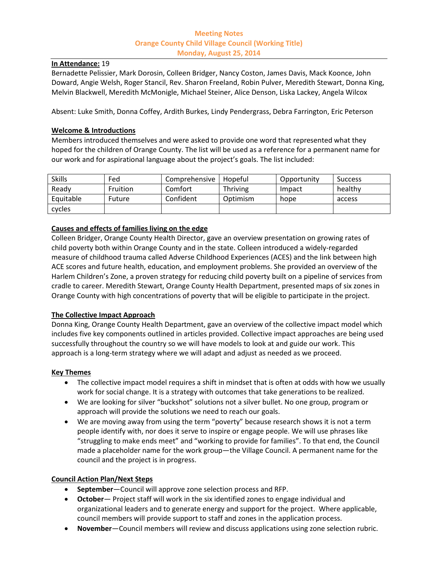## **Meeting Notes Orange County Child Village Council (Working Title) Monday, August 25, 2014**

#### **In Attendance:** 19

Bernadette Pelissier, Mark Dorosin, Colleen Bridger, Nancy Coston, James Davis, Mack Koonce, John Doward, Angie Welsh, Roger Stancil, Rev. Sharon Freeland, Robin Pulver, Meredith Stewart, Donna King, Melvin Blackwell, Meredith McMonigle, Michael Steiner, Alice Denson, Liska Lackey, Angela Wilcox

Absent: Luke Smith, Donna Coffey, Ardith Burkes, Lindy Pendergrass, Debra Farrington, Eric Peterson

## **Welcome & Introductions**

Members introduced themselves and were asked to provide one word that represented what they hoped for the children of Orange County. The list will be used as a reference for a permanent name for our work and for aspirational language about the project's goals. The list included:

| <b>Skills</b> | Fed             | Comprehensive | Hopeful  | Opportunity | <b>Success</b> |
|---------------|-----------------|---------------|----------|-------------|----------------|
| Ready         | <b>Fruition</b> | Comfort       | Thriving | Impact      | healthy        |
| Equitable     | Future          | Confident     | Optimism | hope        | access         |
| cycles        |                 |               |          |             |                |

# **Causes and effects of families living on the edge**

Colleen Bridger, Orange County Health Director, gave an overview presentation on growing rates of child poverty both within Orange County and in the state. Colleen introduced a widely-regarded measure of childhood trauma called Adverse Childhood Experiences (ACES) and the link between high ACE scores and future health, education, and employment problems. She provided an overview of the Harlem Children's Zone, a proven strategy for reducing child poverty built on a pipeline of services from cradle to career. Meredith Stewart, Orange County Health Department, presented maps of six zones in Orange County with high concentrations of poverty that will be eligible to participate in the project.

### **The Collective Impact Approach**

Donna King, Orange County Health Department, gave an overview of the collective impact model which includes five key components outlined in articles provided. Collective impact approaches are being used successfully throughout the country so we will have models to look at and guide our work. This approach is a long-term strategy where we will adapt and adjust as needed as we proceed.

### **Key Themes**

- The collective impact model requires a shift in mindset that is often at odds with how we usually work for social change. It is a strategy with outcomes that take generations to be realized.
- We are looking for silver "buckshot" solutions not a silver bullet. No one group, program or approach will provide the solutions we need to reach our goals.
- We are moving away from using the term "poverty" because research shows it is not a term people identify with, nor does it serve to inspire or engage people. We will use phrases like "struggling to make ends meet" and "working to provide for families". To that end, the Council made a placeholder name for the work group—the Village Council. A permanent name for the council and the project is in progress.

### **Council Action Plan/Next Steps**

- **September**—Council will approve zone selection process and RFP.
- **October** Project staff will work in the six identified zones to engage individual and organizational leaders and to generate energy and support for the project. Where applicable, council members will provide support to staff and zones in the application process.
- **November**—Council members will review and discuss applications using zone selection rubric.